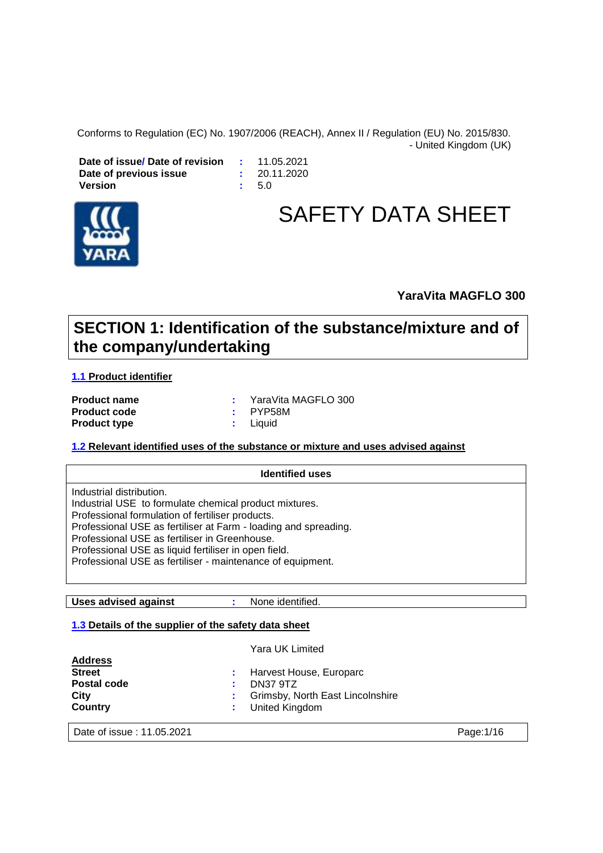Conforms to Regulation (EC) No. 1907/2006 (REACH), Annex II / Regulation (EU) No. 2015/830. - United Kingdom (UK)

**Date of issue/ Date of revision <br><b>Date of previous issue :** 20.11.2020 **Date of previous issue**  $\qquad \qquad :$ **<br>Version**  $\qquad \qquad :$ **Version :** 5.0



# SAFETY DATA SHEET

#### **YaraVita MAGFLO 300**

### **SECTION 1: Identification of the substance/mixture and of the company/undertaking**

#### **1.1 Product identifier**

| <b>Product name</b> |          | : YaraVita MAGFLO 300 |
|---------------------|----------|-----------------------|
| <b>Product code</b> | : PYP58M |                       |
| <b>Product type</b> | : Liquid |                       |

#### **1.2 Relevant identified uses of the substance or mixture and uses advised against**

| <b>Identified uses</b>                                                                                                                                                                                                                                                                                                                                                           |  |  |  |
|----------------------------------------------------------------------------------------------------------------------------------------------------------------------------------------------------------------------------------------------------------------------------------------------------------------------------------------------------------------------------------|--|--|--|
| Industrial distribution.<br>Industrial USE to formulate chemical product mixtures.<br>Professional formulation of fertiliser products.<br>Professional USE as fertiliser at Farm - loading and spreading.<br>Professional USE as fertiliser in Greenhouse.<br>Professional USE as liquid fertiliser in open field.<br>Professional USE as fertiliser - maintenance of equipment. |  |  |  |

**Uses advised against :** None identified.

#### **1.3 Details of the supplier of the safety data sheet**

|                    | Yara UK Limited                    |
|--------------------|------------------------------------|
| <b>Address</b>     |                                    |
| <b>Street</b>      | : Harvest House, Europarc          |
| <b>Postal code</b> | DN37 9TZ                           |
| City               | : Grimsby, North East Lincolnshire |
| Country            | : United Kingdom                   |
|                    |                                    |

Date of issue : 11.05.2021 **Page:**1/16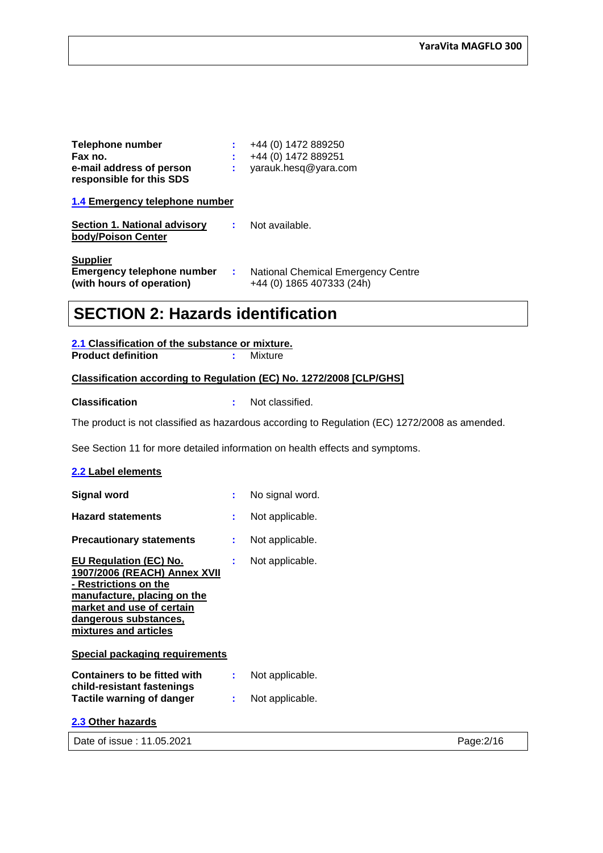| Telephone number<br>Fax no.<br>e-mail address of person<br>responsible for this SDS |    | +44 (0) 1472 889250<br>+44 (0) 1472 889251<br>yarauk.hesq@yara.com |
|-------------------------------------------------------------------------------------|----|--------------------------------------------------------------------|
| 1.4 Emergency telephone number                                                      |    |                                                                    |
| Section 1. National advisory<br>body/Poison Center                                  |    | Not available.                                                     |
| <b>Supplier</b><br><b>Emergency telephone number</b><br>(with hours of operation)   | ÷. | National Chemical Emergency Centre<br>+44 (0) 1865 407333 (24h)    |

### **SECTION 2: Hazards identification**

| 2.1 Classification of the substance or mixture. |  |  |  |
|-------------------------------------------------|--|--|--|
|                                                 |  |  |  |

**Product definition :** Mixture

#### **Classification according to Regulation (EC) No. 1272/2008 [CLP/GHS]**

**Classification :** Not classified.

The product is not classified as hazardous according to Regulation (EC) 1272/2008 as amended.

See Section 11 for more detailed information on health effects and symptoms.

#### **2.2 Label elements**

| <b>Signal word</b>                                                                                                                                                                                   | ÷. | No signal word. |
|------------------------------------------------------------------------------------------------------------------------------------------------------------------------------------------------------|----|-----------------|
| <b>Hazard statements</b>                                                                                                                                                                             | ÷. | Not applicable. |
| <b>Precautionary statements</b>                                                                                                                                                                      | ÷  | Not applicable. |
| EU Regulation (EC) No.<br><b>1907/2006 (REACH) Annex XVII</b><br>- Restrictions on the<br>manufacture, placing on the<br>market and use of certain<br>dangerous substances,<br>mixtures and articles |    | Not applicable. |
| <b>Special packaging requirements</b>                                                                                                                                                                |    |                 |
| Containers to be fitted with                                                                                                                                                                         | ÷  | Not applicable. |
| child-resistant fastenings<br><b>Tactile warning of danger</b>                                                                                                                                       |    | Not applicable. |
| 2.3 Other hazards                                                                                                                                                                                    |    |                 |

Date of issue : 11.05.2021 **Page:2/16**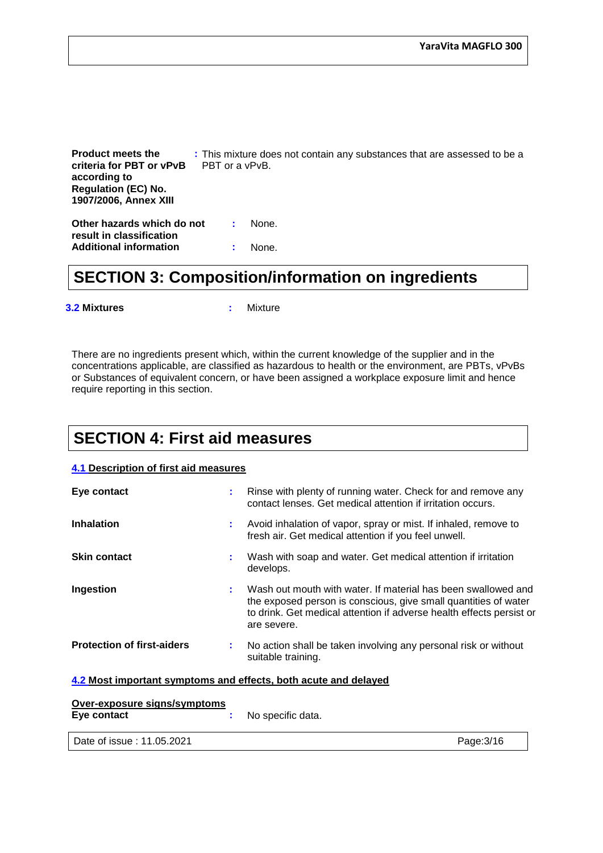**Product meets the criteria for PBT or vPvB according to Regulation (EC) No. 1907/2006, Annex XIII :** This mixture does not contain any substances that are assessed to be a PBT or a vPvB. **Other hazards which do not result in classification :** None.

**Additional information :** None.

### **SECTION 3: Composition/information on ingredients**

**3.2 Mixtures :** Mixture

There are no ingredients present which, within the current knowledge of the supplier and in the concentrations applicable, are classified as hazardous to health or the environment, are PBTs, vPvBs or Substances of equivalent concern, or have been assigned a workplace exposure limit and hence require reporting in this section.

### **SECTION 4: First aid measures**

#### **4.1 Description of first aid measures**

| Eye contact                       | ÷. | Rinse with plenty of running water. Check for and remove any<br>contact lenses. Get medical attention if irritation occurs.                                                                                             |
|-----------------------------------|----|-------------------------------------------------------------------------------------------------------------------------------------------------------------------------------------------------------------------------|
| <b>Inhalation</b>                 | ÷. | Avoid inhalation of vapor, spray or mist. If inhaled, remove to<br>fresh air. Get medical attention if you feel unwell.                                                                                                 |
| <b>Skin contact</b>               | ÷. | Wash with soap and water. Get medical attention if irritation<br>develops.                                                                                                                                              |
| Ingestion                         | ÷  | Wash out mouth with water. If material has been swallowed and<br>the exposed person is conscious, give small quantities of water<br>to drink. Get medical attention if adverse health effects persist or<br>are severe. |
| <b>Protection of first-aiders</b> | ÷. | No action shall be taken involving any personal risk or without<br>suitable training.                                                                                                                                   |

#### **4.2 Most important symptoms and effects, both acute and delayed**

| Over-exposure signs/symptoms |                     |
|------------------------------|---------------------|
| Eye contact                  | : No specific data. |

Date of issue : 11.05.2021 Page:3/16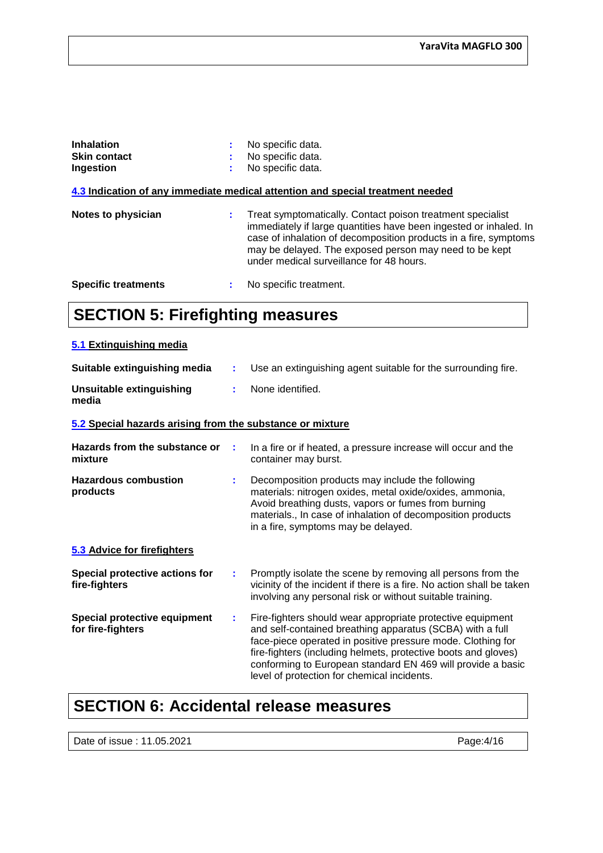| <b>Inhalation</b><br><b>Skin contact</b><br>Ingestion |   | No specific data.<br>No specific data.<br>No specific data.                                                                                                                                                                                                                                               |
|-------------------------------------------------------|---|-----------------------------------------------------------------------------------------------------------------------------------------------------------------------------------------------------------------------------------------------------------------------------------------------------------|
|                                                       |   | 4.3 Indication of any immediate medical attention and special treatment needed                                                                                                                                                                                                                            |
| <b>Notes to physician</b>                             | ÷ | Treat symptomatically. Contact poison treatment specialist<br>immediately if large quantities have been ingested or inhaled. In<br>case of inhalation of decomposition products in a fire, symptoms<br>may be delayed. The exposed person may need to be kept<br>under medical surveillance for 48 hours. |
| <b>Specific treatments</b>                            |   | No specific treatment.                                                                                                                                                                                                                                                                                    |

### **SECTION 5: Firefighting measures**

#### **5.1 Extinguishing media**

| Suitable extinguishing media                              | ÷ | Use an extinguishing agent suitable for the surrounding fire.                                                                                                                                                                                                                                                                                                          |
|-----------------------------------------------------------|---|------------------------------------------------------------------------------------------------------------------------------------------------------------------------------------------------------------------------------------------------------------------------------------------------------------------------------------------------------------------------|
| <b>Unsuitable extinguishing</b><br>media                  | ÷ | None identified.                                                                                                                                                                                                                                                                                                                                                       |
| 5.2 Special hazards arising from the substance or mixture |   |                                                                                                                                                                                                                                                                                                                                                                        |
| Hazards from the substance or<br>mixture                  | ÷ | In a fire or if heated, a pressure increase will occur and the<br>container may burst.                                                                                                                                                                                                                                                                                 |
| <b>Hazardous combustion</b><br>products                   | ÷ | Decomposition products may include the following<br>materials: nitrogen oxides, metal oxide/oxides, ammonia,<br>Avoid breathing dusts, vapors or fumes from burning<br>materials., In case of inhalation of decomposition products<br>in a fire, symptoms may be delayed.                                                                                              |
| 5.3 Advice for firefighters                               |   |                                                                                                                                                                                                                                                                                                                                                                        |
| Special protective actions for<br>fire-fighters           | ÷ | Promptly isolate the scene by removing all persons from the<br>vicinity of the incident if there is a fire. No action shall be taken<br>involving any personal risk or without suitable training.                                                                                                                                                                      |
| Special protective equipment<br>for fire-fighters         | ÷ | Fire-fighters should wear appropriate protective equipment<br>and self-contained breathing apparatus (SCBA) with a full<br>face-piece operated in positive pressure mode. Clothing for<br>fire-fighters (including helmets, protective boots and gloves)<br>conforming to European standard EN 469 will provide a basic<br>level of protection for chemical incidents. |

### **SECTION 6: Accidental release measures**

Date of issue : 11.05.2021 Page:4/16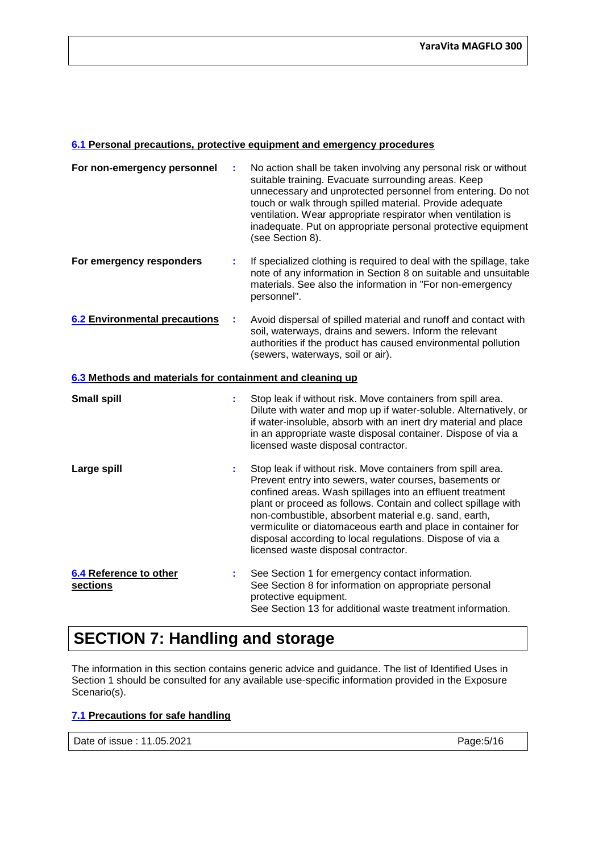#### **6.1 Personal precautions, protective equipment and emergency procedures**

| For non-emergency personnel                               | t  | No action shall be taken involving any personal risk or without<br>suitable training. Evacuate surrounding areas. Keep<br>unnecessary and unprotected personnel from entering. Do not<br>touch or walk through spilled material. Provide adequate<br>ventilation. Wear appropriate respirator when ventilation is<br>inadequate. Put on appropriate personal protective equipment<br>(see Section 8).                                                                             |  |  |
|-----------------------------------------------------------|----|-----------------------------------------------------------------------------------------------------------------------------------------------------------------------------------------------------------------------------------------------------------------------------------------------------------------------------------------------------------------------------------------------------------------------------------------------------------------------------------|--|--|
| For emergency responders                                  | ÷  | If specialized clothing is required to deal with the spillage, take<br>note of any information in Section 8 on suitable and unsuitable<br>materials. See also the information in "For non-emergency<br>personnel".                                                                                                                                                                                                                                                                |  |  |
| <b>6.2 Environmental precautions</b>                      | ÷  | Avoid dispersal of spilled material and runoff and contact with<br>soil, waterways, drains and sewers. Inform the relevant<br>authorities if the product has caused environmental pollution<br>(sewers, waterways, soil or air).                                                                                                                                                                                                                                                  |  |  |
| 6.3 Methods and materials for containment and cleaning up |    |                                                                                                                                                                                                                                                                                                                                                                                                                                                                                   |  |  |
| <b>Small spill</b>                                        | ÷  | Stop leak if without risk. Move containers from spill area.<br>Dilute with water and mop up if water-soluble. Alternatively, or<br>if water-insoluble, absorb with an inert dry material and place<br>in an appropriate waste disposal container. Dispose of via a<br>licensed waste disposal contractor.                                                                                                                                                                         |  |  |
| Large spill                                               | ÷. | Stop leak if without risk. Move containers from spill area.<br>Prevent entry into sewers, water courses, basements or<br>confined areas. Wash spillages into an effluent treatment<br>plant or proceed as follows. Contain and collect spillage with<br>non-combustible, absorbent material e.g. sand, earth,<br>vermiculite or diatomaceous earth and place in container for<br>disposal according to local regulations. Dispose of via a<br>licensed waste disposal contractor. |  |  |
| 6.4 Reference to other<br>sections                        | ÷. | See Section 1 for emergency contact information.<br>See Section 8 for information on appropriate personal<br>protective equipment.<br>See Section 13 for additional waste treatment information.                                                                                                                                                                                                                                                                                  |  |  |

### **SECTION 7: Handling and storage**

The information in this section contains generic advice and guidance. The list of Identified Uses in Section 1 should be consulted for any available use-specific information provided in the Exposure Scenario(s).

#### **7.1 Precautions for safe handling**

Page:5/16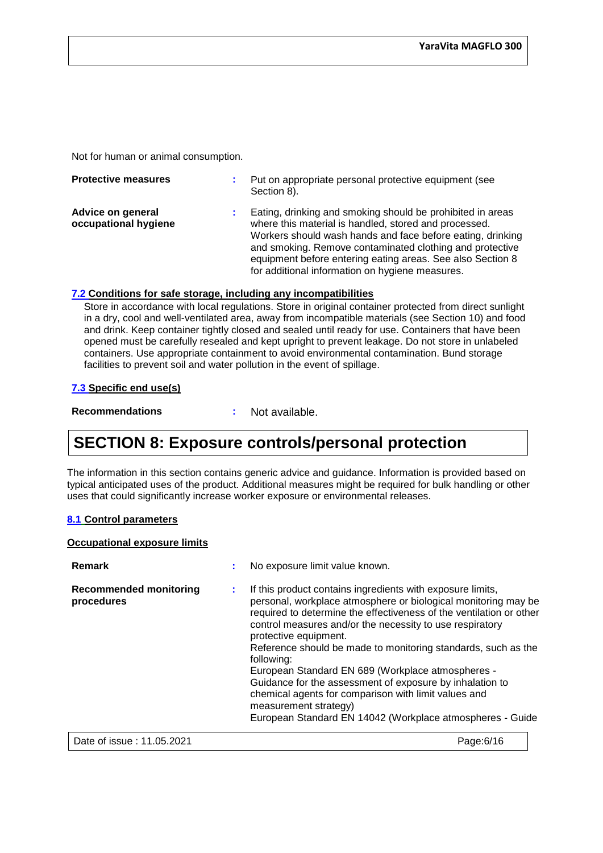Not for human or animal consumption.

| <b>Protective measures</b>                | Put on appropriate personal protective equipment (see<br>Section 8).                                                                                                                                                                                                                                                                                           |
|-------------------------------------------|----------------------------------------------------------------------------------------------------------------------------------------------------------------------------------------------------------------------------------------------------------------------------------------------------------------------------------------------------------------|
| Advice on general<br>occupational hygiene | Eating, drinking and smoking should be prohibited in areas<br>where this material is handled, stored and processed.<br>Workers should wash hands and face before eating, drinking<br>and smoking. Remove contaminated clothing and protective<br>equipment before entering eating areas. See also Section 8<br>for additional information on hygiene measures. |

#### **7.2 Conditions for safe storage, including any incompatibilities**

Store in accordance with local regulations. Store in original container protected from direct sunlight in a dry, cool and well-ventilated area, away from incompatible materials (see Section 10) and food and drink. Keep container tightly closed and sealed until ready for use. Containers that have been opened must be carefully resealed and kept upright to prevent leakage. Do not store in unlabeled containers. Use appropriate containment to avoid environmental contamination. Bund storage facilities to prevent soil and water pollution in the event of spillage.

#### **7.3 Specific end use(s)**

**Recommendations :** Not available.

### **SECTION 8: Exposure controls/personal protection**

The information in this section contains generic advice and guidance. Information is provided based on typical anticipated uses of the product. Additional measures might be required for bulk handling or other uses that could significantly increase worker exposure or environmental releases.

#### **8.1 Control parameters**

#### **Occupational exposure limits**

| Remark                                      |   | No exposure limit value known.                                                                                                                                                                                                                                                                                                                                                                                                                                                                                                                                                                                                         |
|---------------------------------------------|---|----------------------------------------------------------------------------------------------------------------------------------------------------------------------------------------------------------------------------------------------------------------------------------------------------------------------------------------------------------------------------------------------------------------------------------------------------------------------------------------------------------------------------------------------------------------------------------------------------------------------------------------|
| <b>Recommended monitoring</b><br>procedures | ÷ | If this product contains ingredients with exposure limits,<br>personal, workplace atmosphere or biological monitoring may be<br>required to determine the effectiveness of the ventilation or other<br>control measures and/or the necessity to use respiratory<br>protective equipment.<br>Reference should be made to monitoring standards, such as the<br>following:<br>European Standard EN 689 (Workplace atmospheres -<br>Guidance for the assessment of exposure by inhalation to<br>chemical agents for comparison with limit values and<br>measurement strategy)<br>European Standard EN 14042 (Workplace atmospheres - Guide |
| Date of issue: 11.05.2021                   |   | Page: 6/16                                                                                                                                                                                                                                                                                                                                                                                                                                                                                                                                                                                                                             |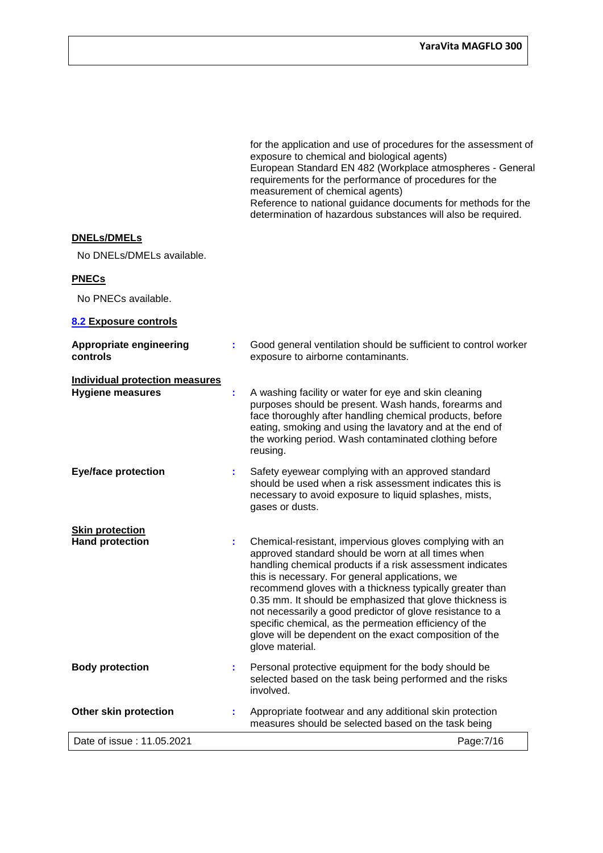|                                                                  |    | for the application and use of procedures for the assessment of<br>exposure to chemical and biological agents)<br>European Standard EN 482 (Workplace atmospheres - General<br>requirements for the performance of procedures for the<br>measurement of chemical agents)<br>Reference to national guidance documents for methods for the<br>determination of hazardous substances will also be required.                                                                                                                                                   |
|------------------------------------------------------------------|----|------------------------------------------------------------------------------------------------------------------------------------------------------------------------------------------------------------------------------------------------------------------------------------------------------------------------------------------------------------------------------------------------------------------------------------------------------------------------------------------------------------------------------------------------------------|
| <b>DNELs/DMELs</b>                                               |    |                                                                                                                                                                                                                                                                                                                                                                                                                                                                                                                                                            |
| No DNELs/DMELs available.                                        |    |                                                                                                                                                                                                                                                                                                                                                                                                                                                                                                                                                            |
| <b>PNECs</b>                                                     |    |                                                                                                                                                                                                                                                                                                                                                                                                                                                                                                                                                            |
| No PNECs available.                                              |    |                                                                                                                                                                                                                                                                                                                                                                                                                                                                                                                                                            |
| 8.2 Exposure controls                                            |    |                                                                                                                                                                                                                                                                                                                                                                                                                                                                                                                                                            |
| <b>Appropriate engineering</b><br>controls                       | t. | Good general ventilation should be sufficient to control worker<br>exposure to airborne contaminants.                                                                                                                                                                                                                                                                                                                                                                                                                                                      |
| <b>Individual protection measures</b><br><b>Hygiene measures</b> | ÷. | A washing facility or water for eye and skin cleaning<br>purposes should be present. Wash hands, forearms and<br>face thoroughly after handling chemical products, before<br>eating, smoking and using the lavatory and at the end of<br>the working period. Wash contaminated clothing before<br>reusing.                                                                                                                                                                                                                                                 |
| <b>Eye/face protection</b>                                       | ÷. | Safety eyewear complying with an approved standard<br>should be used when a risk assessment indicates this is<br>necessary to avoid exposure to liquid splashes, mists,<br>gases or dusts.                                                                                                                                                                                                                                                                                                                                                                 |
| <b>Skin protection</b><br><b>Hand protection</b>                 | ÷. | Chemical-resistant, impervious gloves complying with an<br>approved standard should be worn at all times when<br>handling chemical products if a risk assessment indicates<br>this is necessary. For general applications, we<br>recommend gloves with a thickness typically greater than<br>0.35 mm. It should be emphasized that glove thickness is<br>not necessarily a good predictor of glove resistance to a<br>specific chemical, as the permeation efficiency of the<br>glove will be dependent on the exact composition of the<br>glove material. |
| <b>Body protection</b>                                           |    | Personal protective equipment for the body should be<br>selected based on the task being performed and the risks<br>involved.                                                                                                                                                                                                                                                                                                                                                                                                                              |
| <b>Other skin protection</b>                                     |    | Appropriate footwear and any additional skin protection<br>measures should be selected based on the task being                                                                                                                                                                                                                                                                                                                                                                                                                                             |
| Date of issue: 11.05.2021                                        |    | Page: 7/16                                                                                                                                                                                                                                                                                                                                                                                                                                                                                                                                                 |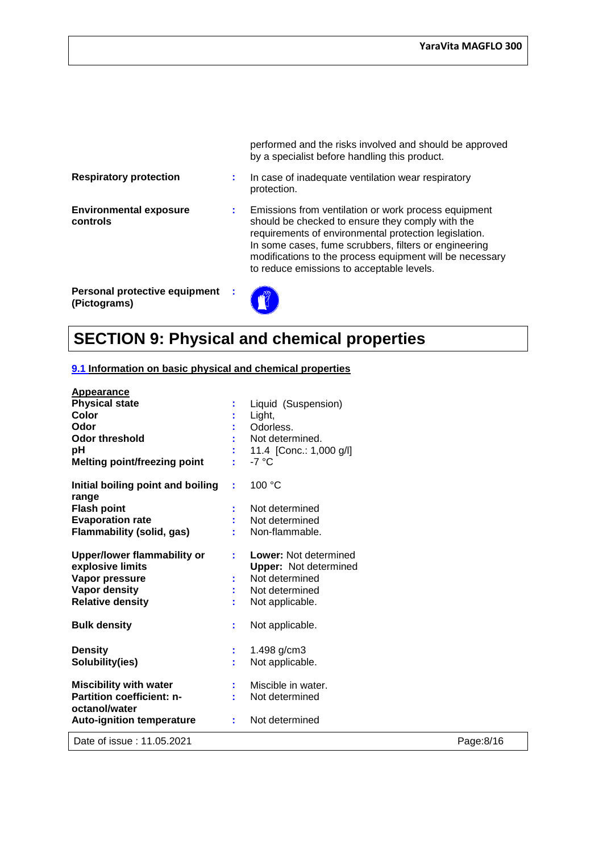|                                               |   | performed and the risks involved and should be approved<br>by a specialist before handling this product.                                                                                                                                                                                                                            |
|-----------------------------------------------|---|-------------------------------------------------------------------------------------------------------------------------------------------------------------------------------------------------------------------------------------------------------------------------------------------------------------------------------------|
| <b>Respiratory protection</b>                 | ÷ | In case of inadequate ventilation wear respiratory<br>protection.                                                                                                                                                                                                                                                                   |
| <b>Environmental exposure</b><br>controls     |   | Emissions from ventilation or work process equipment<br>should be checked to ensure they comply with the<br>requirements of environmental protection legislation.<br>In some cases, fume scrubbers, filters or engineering<br>modifications to the process equipment will be necessary<br>to reduce emissions to acceptable levels. |
| Personal protective equipment<br>(Pictograms) |   |                                                                                                                                                                                                                                                                                                                                     |

# **SECTION 9: Physical and chemical properties**

**LE** 

#### **9.1 Information on basic physical and chemical properties**

| <b>Appearance</b>                                      |    |                                                              |           |
|--------------------------------------------------------|----|--------------------------------------------------------------|-----------|
| <b>Physical state</b>                                  |    | Liquid (Suspension)                                          |           |
| Color                                                  |    | Light,                                                       |           |
| Odor                                                   |    | Odorless.                                                    |           |
| <b>Odor threshold</b>                                  |    | Not determined.                                              |           |
| pH                                                     |    | 11.4 [Conc.: 1,000 g/l]                                      |           |
| <b>Melting point/freezing point</b>                    |    | $-7^{\circ}$ C                                               |           |
| Initial boiling point and boiling<br>range             | ÷  | 100 °C                                                       |           |
| <b>Flash point</b>                                     |    | Not determined                                               |           |
| <b>Evaporation rate</b>                                |    | Not determined                                               |           |
| <b>Flammability (solid, gas)</b>                       |    | Non-flammable.                                               |           |
| <b>Upper/lower flammability or</b><br>explosive limits | ÷  | <b>Lower: Not determined</b><br><b>Upper:</b> Not determined |           |
| Vapor pressure                                         |    | Not determined                                               |           |
| Vapor density                                          |    | Not determined                                               |           |
| <b>Relative density</b>                                |    | Not applicable.                                              |           |
| <b>Bulk density</b>                                    | ÷  | Not applicable.                                              |           |
| <b>Density</b>                                         | ÷. | 1.498 g/cm3                                                  |           |
| Solubility(ies)                                        | ÷. | Not applicable.                                              |           |
| <b>Miscibility with water</b>                          |    | Miscible in water.                                           |           |
| Partition coefficient: n-                              |    | Not determined                                               |           |
| octanol/water                                          |    |                                                              |           |
| <b>Auto-ignition temperature</b>                       | ÷. | Not determined                                               |           |
| Date of issue: 11.05.2021                              |    |                                                              | Page:8/16 |
|                                                        |    |                                                              |           |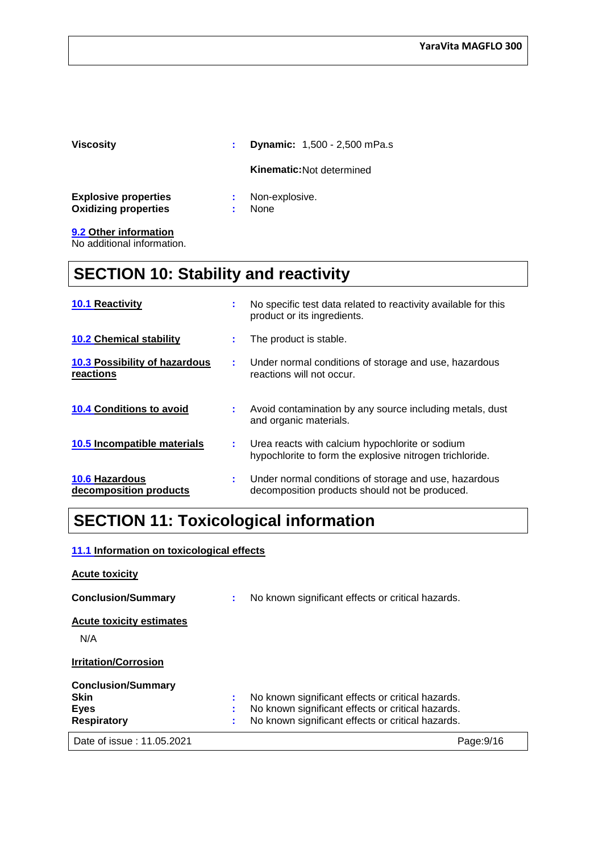| <b>Viscosity</b>                                           | ÷       | <b>Dynamic:</b> 1,500 - 2,500 mPa.s |
|------------------------------------------------------------|---------|-------------------------------------|
|                                                            |         | <b>Kinematic:</b> Not determined    |
| <b>Explosive properties</b><br><b>Oxidizing properties</b> | ÷.<br>÷ | Non-explosive.<br>None              |
| 9.2 Other information                                      |         |                                     |

No additional information.

### **SECTION 10: Stability and reactivity**

| <b>10.1 Reactivity</b>                            | t. | No specific test data related to reactivity available for this<br>product or its ingredients.               |
|---------------------------------------------------|----|-------------------------------------------------------------------------------------------------------------|
| <b>10.2 Chemical stability</b>                    | ÷. | The product is stable.                                                                                      |
| <b>10.3 Possibility of hazardous</b><br>reactions | ÷. | Under normal conditions of storage and use, hazardous<br>reactions will not occur.                          |
| <b>10.4 Conditions to avoid</b>                   | t. | Avoid contamination by any source including metals, dust<br>and organic materials.                          |
| 10.5 Incompatible materials                       | ÷. | Urea reacts with calcium hypochlorite or sodium<br>hypochlorite to form the explosive nitrogen trichloride. |
| <b>10.6 Hazardous</b><br>decomposition products   | ÷. | Under normal conditions of storage and use, hazardous<br>decomposition products should not be produced.     |

### **SECTION 11: Toxicological information**

#### **11.1 Information on toxicological effects**

| <b>Acute toxicity</b>                                                         |          |                                                                                                                                                             |            |
|-------------------------------------------------------------------------------|----------|-------------------------------------------------------------------------------------------------------------------------------------------------------------|------------|
| <b>Conclusion/Summary</b>                                                     | ÷.       | No known significant effects or critical hazards.                                                                                                           |            |
| <b>Acute toxicity estimates</b><br>N/A                                        |          |                                                                                                                                                             |            |
| <b>Irritation/Corrosion</b>                                                   |          |                                                                                                                                                             |            |
| <b>Conclusion/Summary</b><br><b>Skin</b><br><b>Eyes</b><br><b>Respiratory</b> | ÷.<br>×. | No known significant effects or critical hazards.<br>No known significant effects or critical hazards.<br>No known significant effects or critical hazards. |            |
| Date of issue: 11.05.2021                                                     |          |                                                                                                                                                             | Page: 9/16 |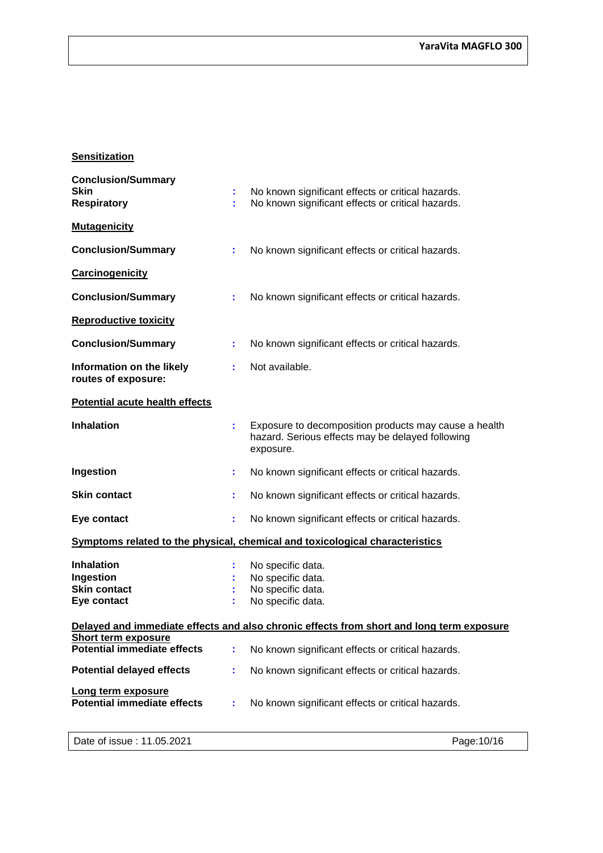#### **Sensitization**

| <b>Conclusion/Summary</b><br><b>Skin</b><br><b>Respiratory</b>       | ÷. | No known significant effects or critical hazards.<br>No known significant effects or critical hazards.                 |
|----------------------------------------------------------------------|----|------------------------------------------------------------------------------------------------------------------------|
| <b>Mutagenicity</b>                                                  |    |                                                                                                                        |
| <b>Conclusion/Summary</b>                                            | ÷. | No known significant effects or critical hazards.                                                                      |
| Carcinogenicity                                                      |    |                                                                                                                        |
| <b>Conclusion/Summary</b>                                            | ÷. | No known significant effects or critical hazards.                                                                      |
| <b>Reproductive toxicity</b>                                         |    |                                                                                                                        |
| <b>Conclusion/Summary</b>                                            | ÷. | No known significant effects or critical hazards.                                                                      |
| Information on the likely<br>routes of exposure:                     | ÷. | Not available.                                                                                                         |
| <b>Potential acute health effects</b>                                |    |                                                                                                                        |
| <b>Inhalation</b>                                                    |    | Exposure to decomposition products may cause a health<br>hazard. Serious effects may be delayed following<br>exposure. |
| Ingestion                                                            | ÷. | No known significant effects or critical hazards.                                                                      |
| <b>Skin contact</b>                                                  | ř. | No known significant effects or critical hazards.                                                                      |
| Eye contact                                                          | ÷. | No known significant effects or critical hazards.                                                                      |
|                                                                      |    | Symptoms related to the physical, chemical and toxicological characteristics                                           |
| <b>Inhalation</b><br>Ingestion<br><b>Skin contact</b><br>Eye contact |    | No specific data.<br>No specific data.<br>No specific data.<br>No specific data.                                       |
|                                                                      |    | Delayed and immediate effects and also chronic effects from short and long term exposure                               |
| <b>Short term exposure</b><br><b>Potential immediate effects</b>     | ÷  | No known significant effects or critical hazards.                                                                      |
| <b>Potential delayed effects</b>                                     | ÷. | No known significant effects or critical hazards.                                                                      |
| Long term exposure<br><b>Potential immediate effects</b>             |    | No known significant effects or critical hazards.                                                                      |
| Date of issue: 11.05.2021                                            |    | Page: 10/16                                                                                                            |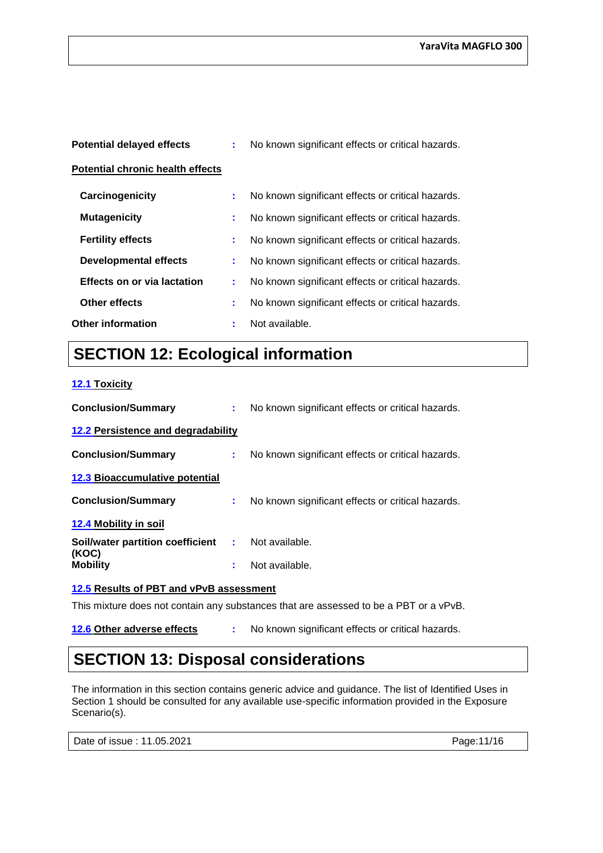| <b>Potential delayed effects</b>        |    | No known significant effects or critical hazards. |
|-----------------------------------------|----|---------------------------------------------------|
| <b>Potential chronic health effects</b> |    |                                                   |
| Carcinogenicity                         | ÷. | No known significant effects or critical hazards. |
| <b>Mutagenicity</b>                     | t. | No known significant effects or critical hazards. |
| <b>Fertility effects</b>                | ÷. | No known significant effects or critical hazards. |
| <b>Developmental effects</b>            | ÷. | No known significant effects or critical hazards. |
| <b>Effects on or via lactation</b>      | t. | No known significant effects or critical hazards. |
| Other effects                           | ÷. | No known significant effects or critical hazards. |
| <b>Other information</b>                | ÷  | Not available.                                    |

## **SECTION 12: Ecological information**

#### **12.1 Toxicity**

| <b>Conclusion/Summary</b>             |    | No known significant effects or critical hazards. |
|---------------------------------------|----|---------------------------------------------------|
| 12.2 Persistence and degradability    |    |                                                   |
| <b>Conclusion/Summary</b>             | t. | No known significant effects or critical hazards. |
| <b>12.3 Bioaccumulative potential</b> |    |                                                   |
| <b>Conclusion/Summary</b>             | ÷. | No known significant effects or critical hazards. |
| 12.4 Mobility in soil                 |    |                                                   |
| Soil/water partition coefficient :    |    | Not available.                                    |
| (KOC)<br><b>Mobility</b>              | ÷  | Not available.                                    |

#### **12.5 Results of PBT and vPvB assessment**

This mixture does not contain any substances that are assessed to be a PBT or a vPvB.

**12.6 Other adverse effects :** No known significant effects or critical hazards.

### **SECTION 13: Disposal considerations**

The information in this section contains generic advice and guidance. The list of Identified Uses in Section 1 should be consulted for any available use-specific information provided in the Exposure Scenario(s).

Date of issue : 11.05.2021 Page: 11/16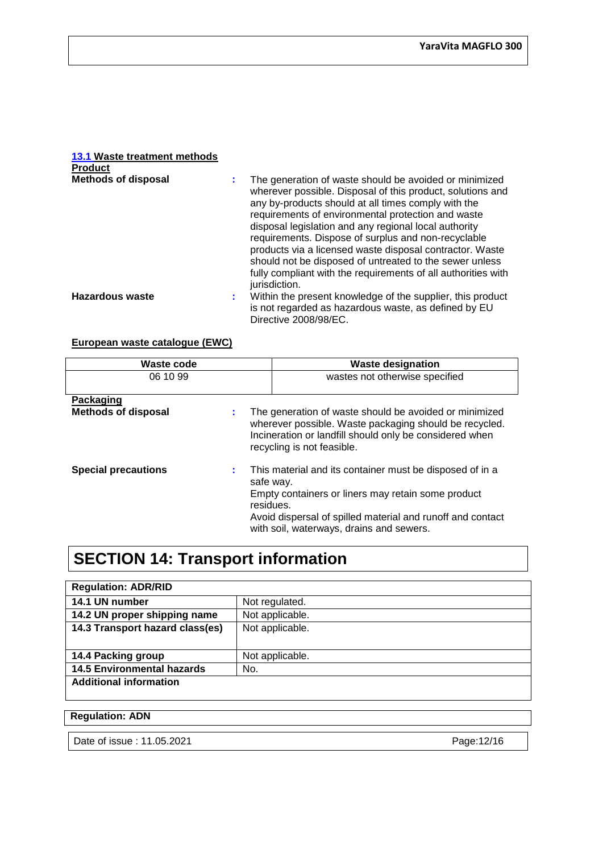#### **13.1 Waste treatment methods Product**

| <b>Methods of disposal</b> | The generation of waste should be avoided or minimized<br>wherever possible. Disposal of this product, solutions and<br>any by-products should at all times comply with the<br>requirements of environmental protection and waste<br>disposal legislation and any regional local authority<br>requirements. Dispose of surplus and non-recyclable<br>products via a licensed waste disposal contractor. Waste<br>should not be disposed of untreated to the sewer unless<br>fully compliant with the requirements of all authorities with<br>jurisdiction. |
|----------------------------|------------------------------------------------------------------------------------------------------------------------------------------------------------------------------------------------------------------------------------------------------------------------------------------------------------------------------------------------------------------------------------------------------------------------------------------------------------------------------------------------------------------------------------------------------------|
| <b>Hazardous waste</b>     | Within the present knowledge of the supplier, this product<br>÷.<br>is not regarded as hazardous waste, as defined by EU<br>Directive 2008/98/EC.                                                                                                                                                                                                                                                                                                                                                                                                          |

#### **European waste catalogue (EWC)**

| Waste code                 |                              | <b>Waste designation</b>                                                                                                                                                                                                 |
|----------------------------|------------------------------|--------------------------------------------------------------------------------------------------------------------------------------------------------------------------------------------------------------------------|
| 06 10 99                   |                              | wastes not otherwise specified                                                                                                                                                                                           |
|                            |                              |                                                                                                                                                                                                                          |
| Packaging                  |                              |                                                                                                                                                                                                                          |
| <b>Methods of disposal</b> | ÷.                           | The generation of waste should be avoided or minimized<br>wherever possible. Waste packaging should be recycled.<br>Incineration or landfill should only be considered when<br>recycling is not feasible.                |
| <b>Special precautions</b> | ÷.<br>safe way.<br>residues. | This material and its container must be disposed of in a<br>Empty containers or liners may retain some product<br>Avoid dispersal of spilled material and runoff and contact<br>with soil, waterways, drains and sewers. |

# **SECTION 14: Transport information**

### **Regulation: ADR/RID**

| 14.1 UN number                    | Not regulated.  |
|-----------------------------------|-----------------|
| 14.2 UN proper shipping name      | Not applicable. |
| 14.3 Transport hazard class(es)   | Not applicable. |
|                                   |                 |
| 14.4 Packing group                | Not applicable. |
| <b>14.5 Environmental hazards</b> | No.             |
| <b>Additional information</b>     |                 |
|                                   |                 |

#### **Regulation: ADN**

Date of issue : 11.05.2021 **Page:12/16**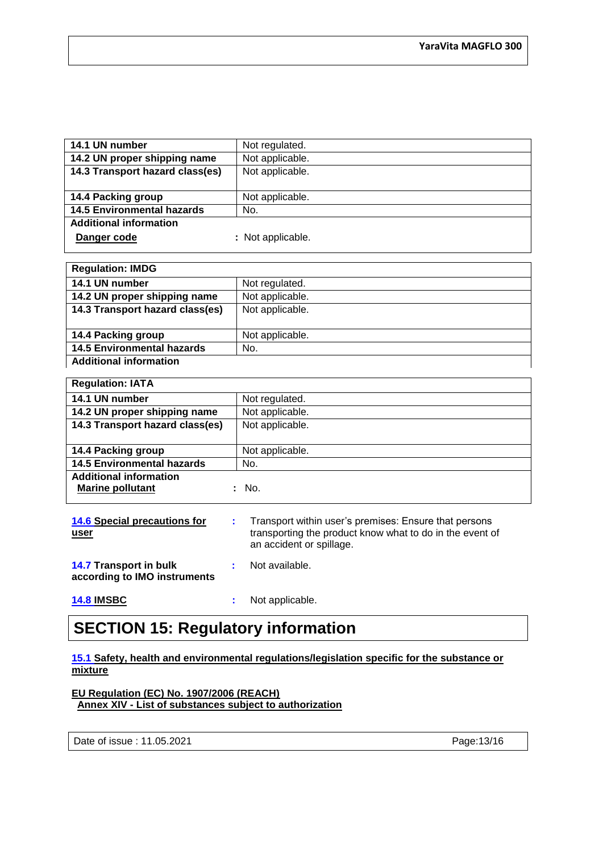| 14.1 UN number                    | Not regulated.    |
|-----------------------------------|-------------------|
| 14.2 UN proper shipping name      | Not applicable.   |
| 14.3 Transport hazard class(es)   | Not applicable.   |
|                                   |                   |
| 14.4 Packing group                | Not applicable.   |
| <b>14.5 Environmental hazards</b> | No.               |
| <b>Additional information</b>     |                   |
| Danger code                       | : Not applicable. |

| <b>Regulation: IMDG</b>           |                 |
|-----------------------------------|-----------------|
| 14.1 UN number                    | Not regulated.  |
| 14.2 UN proper shipping name      | Not applicable. |
| 14.3 Transport hazard class(es)   | Not applicable. |
|                                   |                 |
| 14.4 Packing group                | Not applicable. |
| <b>14.5 Environmental hazards</b> | No.             |
| <b>Additional information</b>     |                 |

| <b>Regulation: IATA</b>                                  |                 |
|----------------------------------------------------------|-----------------|
| 14.1 UN number                                           | Not regulated.  |
| 14.2 UN proper shipping name                             | Not applicable. |
| 14.3 Transport hazard class(es)                          | Not applicable. |
|                                                          |                 |
| 14.4 Packing group                                       | Not applicable. |
| <b>14.5 Environmental hazards</b>                        | No.             |
| <b>Additional information</b><br><b>Marine pollutant</b> | No.             |
|                                                          |                 |

| <b>14.6 Special precautions for</b><br>user            | t. | Transport within user's premises: Ensure that persons<br>transporting the product know what to do in the event of<br>an accident or spillage. |
|--------------------------------------------------------|----|-----------------------------------------------------------------------------------------------------------------------------------------------|
| 14.7 Transport in bulk<br>according to IMO instruments |    | Not available.                                                                                                                                |
| <b>14.8 IMSBC</b>                                      | ٠  | Not applicable.                                                                                                                               |

### **SECTION 15: Regulatory information**

#### **15.1 Safety, health and environmental regulations/legislation specific for the substance or mixture**

**EU Regulation (EC) No. 1907/2006 (REACH) Annex XIV - List of substances subject to authorization**

Date of issue : 11.05.2021 Page: 13/16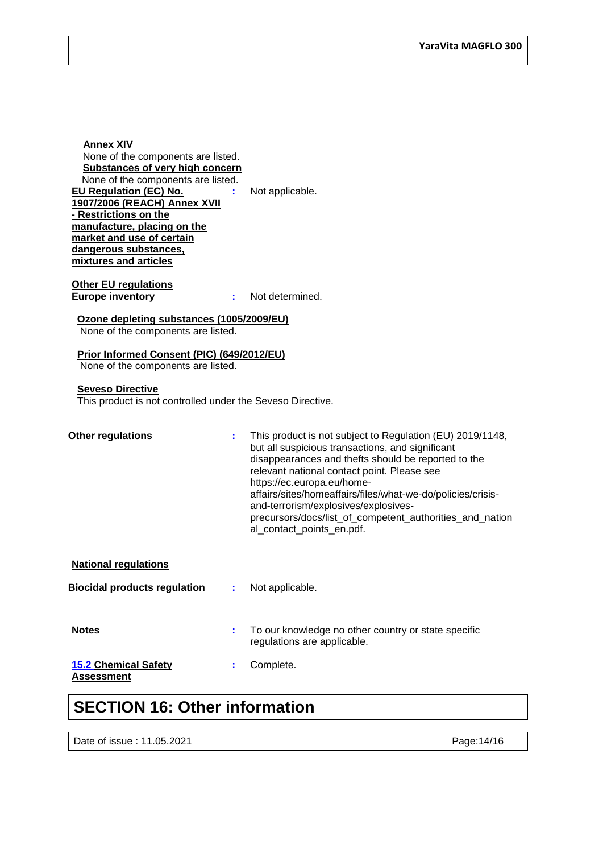| <b>Annex XIV</b><br>None of the components are listed.<br><b>Substances of very high concern</b><br>None of the components are listed.<br>EU Regulation (EC) No.<br>1907/2006 (REACH) Annex XVII<br>- Restrictions on the<br>manufacture, placing on the<br>market and use of certain<br>dangerous substances,<br>mixtures and articles | Not applicable.                                                                                                                                                                                                                                                                                                                                                                                                                                   |
|-----------------------------------------------------------------------------------------------------------------------------------------------------------------------------------------------------------------------------------------------------------------------------------------------------------------------------------------|---------------------------------------------------------------------------------------------------------------------------------------------------------------------------------------------------------------------------------------------------------------------------------------------------------------------------------------------------------------------------------------------------------------------------------------------------|
| <b>Other EU regulations</b><br><b>Europe inventory</b>                                                                                                                                                                                                                                                                                  | Not determined.                                                                                                                                                                                                                                                                                                                                                                                                                                   |
| Ozone depleting substances (1005/2009/EU)<br>None of the components are listed.                                                                                                                                                                                                                                                         |                                                                                                                                                                                                                                                                                                                                                                                                                                                   |
| Prior Informed Consent (PIC) (649/2012/EU)<br>None of the components are listed.                                                                                                                                                                                                                                                        |                                                                                                                                                                                                                                                                                                                                                                                                                                                   |
| <b>Seveso Directive</b><br>This product is not controlled under the Seveso Directive.                                                                                                                                                                                                                                                   |                                                                                                                                                                                                                                                                                                                                                                                                                                                   |
| <b>Other regulations</b>                                                                                                                                                                                                                                                                                                                | This product is not subject to Regulation (EU) 2019/1148,<br>but all suspicious transactions, and significant<br>disappearances and thefts should be reported to the<br>relevant national contact point. Please see<br>https://ec.europa.eu/home-<br>affairs/sites/homeaffairs/files/what-we-do/policies/crisis-<br>and-terrorism/explosives/explosives-<br>precursors/docs/list_of_competent_authorities_and_nation<br>al_contact_points_en.pdf. |
| <b>National regulations</b>                                                                                                                                                                                                                                                                                                             |                                                                                                                                                                                                                                                                                                                                                                                                                                                   |
| <b>Biocidal products regulation</b>                                                                                                                                                                                                                                                                                                     | Not applicable.                                                                                                                                                                                                                                                                                                                                                                                                                                   |
| <b>Notes</b>                                                                                                                                                                                                                                                                                                                            | To our knowledge no other country or state specific<br>regulations are applicable.                                                                                                                                                                                                                                                                                                                                                                |
| <b>15.2 Chemical Safety</b><br>÷<br><b>Assessment</b>                                                                                                                                                                                                                                                                                   | Complete.                                                                                                                                                                                                                                                                                                                                                                                                                                         |

### **SECTION 16: Other information**

Date of issue : 11.05.2021 Page: 14/16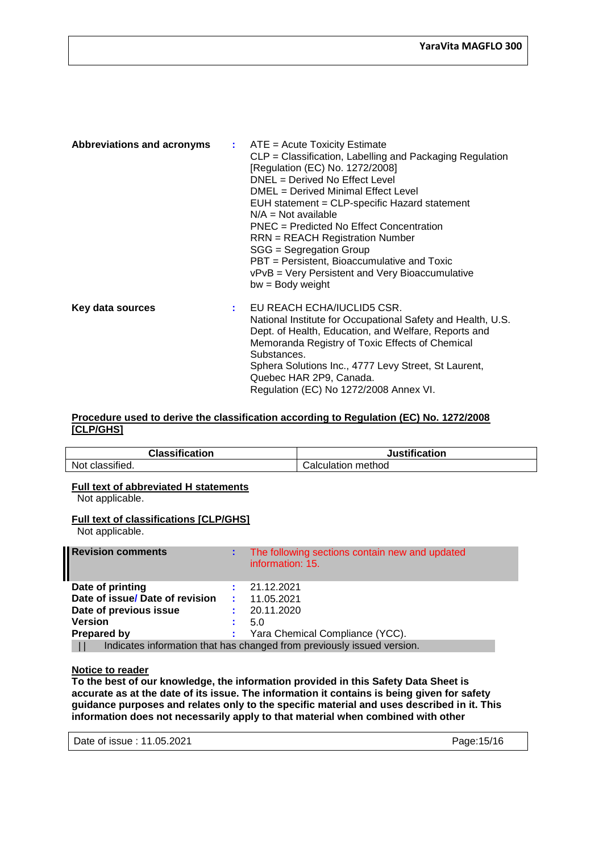| <b>Abbreviations and acronyms</b> |    | $\therefore$ ATE = Acute Toxicity Estimate<br>CLP = Classification, Labelling and Packaging Regulation<br>[Regulation (EC) No. 1272/2008]<br>DNEL = Derived No Effect Level<br>DMEL = Derived Minimal Effect Level<br>EUH statement = CLP-specific Hazard statement<br>$N/A = Not available$<br>PNEC = Predicted No Effect Concentration<br><b>RRN</b> = REACH Registration Number<br>SGG = Segregation Group<br>PBT = Persistent, Bioaccumulative and Toxic<br>vPvB = Very Persistent and Very Bioaccumulative<br>$bw = Body weight$ |
|-----------------------------------|----|---------------------------------------------------------------------------------------------------------------------------------------------------------------------------------------------------------------------------------------------------------------------------------------------------------------------------------------------------------------------------------------------------------------------------------------------------------------------------------------------------------------------------------------|
| Key data sources                  | ÷. | EU REACH ECHA/IUCLID5 CSR.<br>National Institute for Occupational Safety and Health, U.S.<br>Dept. of Health, Education, and Welfare, Reports and<br>Memoranda Registry of Toxic Effects of Chemical<br>Substances.<br>Sphera Solutions Inc., 4777 Levy Street, St Laurent,<br>Quebec HAR 2P9, Canada.<br>Regulation (EC) No 1272/2008 Annex VI.                                                                                                                                                                                      |

#### **Procedure used to derive the classification according to Regulation (EC) No. 1272/2008 [CLP/GHS]**

| <b>Classification</b> | <b>Justification</b> |
|-----------------------|----------------------|
| Not classified.       | Calculation method   |

#### **Full text of abbreviated H statements**

Not applicable.

#### **Full text of classifications [CLP/GHS]**

Not applicable.

| <b>Revision comments</b>                                               |    | The following sections contain new and updated<br>information: 15. |
|------------------------------------------------------------------------|----|--------------------------------------------------------------------|
| Date of printing                                                       |    | 21.12.2021                                                         |
| Date of issue/ Date of revision                                        |    | 11.05.2021                                                         |
| Date of previous issue                                                 |    | 20.11.2020                                                         |
| <b>Version</b>                                                         |    | 5.0                                                                |
| Prepared by                                                            | ÷. | Yara Chemical Compliance (YCC).                                    |
| Indicates information that has changed from previously issued version. |    |                                                                    |

#### **Notice to reader**

**To the best of our knowledge, the information provided in this Safety Data Sheet is accurate as at the date of its issue. The information it contains is being given for safety guidance purposes and relates only to the specific material and uses described in it. This information does not necessarily apply to that material when combined with other** 

| Date of issue: 11.05.2021 |  |
|---------------------------|--|
|---------------------------|--|

Page:15/16